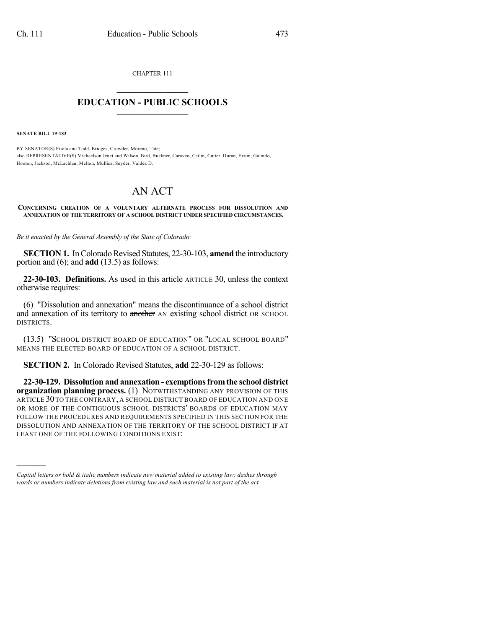CHAPTER 111  $\overline{\phantom{a}}$  . The set of the set of the set of the set of the set of the set of the set of the set of the set of the set of the set of the set of the set of the set of the set of the set of the set of the set of the set o

## **EDUCATION - PUBLIC SCHOOLS**  $\_$   $\_$   $\_$   $\_$   $\_$   $\_$   $\_$   $\_$   $\_$

**SENATE BILL 19-183**

)))))

BY SENATOR(S) Priola and Todd, Bridges, Crowder, Moreno, Tate; also REPRESENTATIVE(S) Michaelson Jenet and Wilson, Bird, Buckner, Caraveo, Catlin, Cutter, Duran, Exum, Galindo, Hooton, Jackson, McLachlan, Melton, Mullica, Snyder, Valdez D.

## AN ACT

**CONCERNING CREATION OF A VOLUNTARY ALTERNATE PROCESS FOR DISSOLUTION AND ANNEXATION OF THE TERRITORY OF A SCHOOL DISTRICT UNDER SPECIFIED CIRCUMSTANCES.**

*Be it enacted by the General Assembly of the State of Colorado:*

**SECTION 1.** In Colorado Revised Statutes, 22-30-103, amend the introductory portion and (6); and **add** (13.5) as follows:

**22-30-103. Definitions.** As used in this article ARTICLE 30, unless the context otherwise requires:

(6) "Dissolution and annexation" means the discontinuance of a school district and annexation of its territory to another AN existing school district OR SCHOOL DISTRICTS.

(13.5) "SCHOOL DISTRICT BOARD OF EDUCATION" OR "LOCAL SCHOOL BOARD" MEANS THE ELECTED BOARD OF EDUCATION OF A SCHOOL DISTRICT.

**SECTION 2.** In Colorado Revised Statutes, **add** 22-30-129 as follows:

**22-30-129. Dissolution and annexation - exemptionsfromthe school district organization planning process.** (1) NOTWITHSTANDING ANY PROVISION OF THIS ARTICLE 30 TO THE CONTRARY, A SCHOOL DISTRICT BOARD OF EDUCATION AND ONE OR MORE OF THE CONTIGUOUS SCHOOL DISTRICTS' BOARDS OF EDUCATION MAY FOLLOW THE PROCEDURES AND REQUIREMENTS SPECIFIED IN THIS SECTION FOR THE DISSOLUTION AND ANNEXATION OF THE TERRITORY OF THE SCHOOL DISTRICT IF AT LEAST ONE OF THE FOLLOWING CONDITIONS EXIST:

*Capital letters or bold & italic numbers indicate new material added to existing law; dashes through words or numbers indicate deletions from existing law and such material is not part of the act.*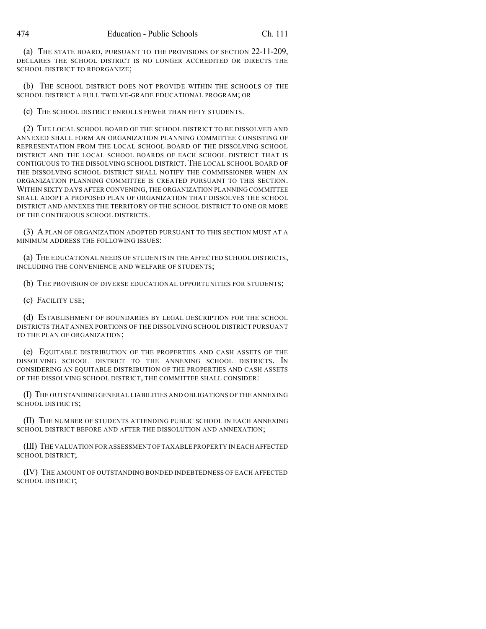(a) THE STATE BOARD, PURSUANT TO THE PROVISIONS OF SECTION 22-11-209, DECLARES THE SCHOOL DISTRICT IS NO LONGER ACCREDITED OR DIRECTS THE SCHOOL DISTRICT TO REORGANIZE;

(b) THE SCHOOL DISTRICT DOES NOT PROVIDE WITHIN THE SCHOOLS OF THE SCHOOL DISTRICT A FULL TWELVE-GRADE EDUCATIONAL PROGRAM; OR

(c) THE SCHOOL DISTRICT ENROLLS FEWER THAN FIFTY STUDENTS.

(2) THE LOCAL SCHOOL BOARD OF THE SCHOOL DISTRICT TO BE DISSOLVED AND ANNEXED SHALL FORM AN ORGANIZATION PLANNING COMMITTEE CONSISTING OF REPRESENTATION FROM THE LOCAL SCHOOL BOARD OF THE DISSOLVING SCHOOL DISTRICT AND THE LOCAL SCHOOL BOARDS OF EACH SCHOOL DISTRICT THAT IS CONTIGUOUS TO THE DISSOLVING SCHOOL DISTRICT. THE LOCAL SCHOOL BOARD OF THE DISSOLVING SCHOOL DISTRICT SHALL NOTIFY THE COMMISSIONER WHEN AN ORGANIZATION PLANNING COMMITTEE IS CREATED PURSUANT TO THIS SECTION. WITHIN SIXTY DAYS AFTER CONVENING, THE ORGANIZATION PLANNING COMMITTEE SHALL ADOPT A PROPOSED PLAN OF ORGANIZATION THAT DISSOLVES THE SCHOOL DISTRICT AND ANNEXES THE TERRITORY OF THE SCHOOL DISTRICT TO ONE OR MORE OF THE CONTIGUOUS SCHOOL DISTRICTS.

(3) A PLAN OF ORGANIZATION ADOPTED PURSUANT TO THIS SECTION MUST AT A MINIMUM ADDRESS THE FOLLOWING ISSUES:

(a) THE EDUCATIONAL NEEDS OF STUDENTS IN THE AFFECTED SCHOOL DISTRICTS, INCLUDING THE CONVENIENCE AND WELFARE OF STUDENTS;

(b) THE PROVISION OF DIVERSE EDUCATIONAL OPPORTUNITIES FOR STUDENTS;

(c) FACILITY USE;

(d) ESTABLISHMENT OF BOUNDARIES BY LEGAL DESCRIPTION FOR THE SCHOOL DISTRICTS THAT ANNEX PORTIONS OF THE DISSOLVING SCHOOL DISTRICT PURSUANT TO THE PLAN OF ORGANIZATION;

(e) EQUITABLE DISTRIBUTION OF THE PROPERTIES AND CASH ASSETS OF THE DISSOLVING SCHOOL DISTRICT TO THE ANNEXING SCHOOL DISTRICTS. IN CONSIDERING AN EQUITABLE DISTRIBUTION OF THE PROPERTIES AND CASH ASSETS OF THE DISSOLVING SCHOOL DISTRICT, THE COMMITTEE SHALL CONSIDER:

(I) THE OUTSTANDING GENERAL LIABILITIES AND OBLIGATIONS OFTHE ANNEXING SCHOOL DISTRICTS;

(II) THE NUMBER OF STUDENTS ATTENDING PUBLIC SCHOOL IN EACH ANNEXING SCHOOL DISTRICT BEFORE AND AFTER THE DISSOLUTION AND ANNEXATION;

(III) THE VALUATION FOR ASSESSMENT OF TAXABLE PROPERTY IN EACH AFFECTED SCHOOL DISTRICT;

(IV) THE AMOUNT OF OUTSTANDING BONDED INDEBTEDNESS OF EACH AFFECTED SCHOOL DISTRICT;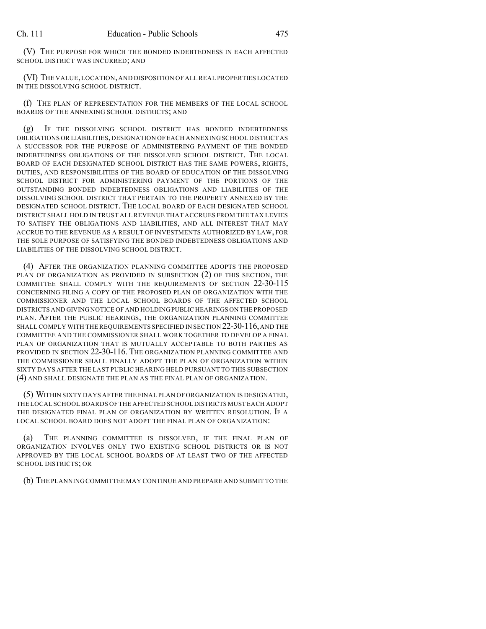(V) THE PURPOSE FOR WHICH THE BONDED INDEBTEDNESS IN EACH AFFECTED SCHOOL DISTRICT WAS INCURRED; AND

(VI) THE VALUE,LOCATION,AND DISPOSITION OF ALL REAL PROPERTIES LOCATED IN THE DISSOLVING SCHOOL DISTRICT.

(f) THE PLAN OF REPRESENTATION FOR THE MEMBERS OF THE LOCAL SCHOOL BOARDS OF THE ANNEXING SCHOOL DISTRICTS; AND

(g) IF THE DISSOLVING SCHOOL DISTRICT HAS BONDED INDEBTEDNESS OBLIGATIONS OR LIABILITIES, DESIGNATION OF EACH ANNEXING SCHOOL DISTRICT AS A SUCCESSOR FOR THE PURPOSE OF ADMINISTERING PAYMENT OF THE BONDED INDEBTEDNESS OBLIGATIONS OF THE DISSOLVED SCHOOL DISTRICT. THE LOCAL BOARD OF EACH DESIGNATED SCHOOL DISTRICT HAS THE SAME POWERS, RIGHTS, DUTIES, AND RESPONSIBILITIES OF THE BOARD OF EDUCATION OF THE DISSOLVING SCHOOL DISTRICT FOR ADMINISTERING PAYMENT OF THE PORTIONS OF THE OUTSTANDING BONDED INDEBTEDNESS OBLIGATIONS AND LIABILITIES OF THE DISSOLVING SCHOOL DISTRICT THAT PERTAIN TO THE PROPERTY ANNEXED BY THE DESIGNATED SCHOOL DISTRICT. THE LOCAL BOARD OF EACH DESIGNATED SCHOOL DISTRICT SHALL HOLD IN TRUST ALL REVENUE THAT ACCRUES FROM THE TAX LEVIES TO SATISFY THE OBLIGATIONS AND LIABILITIES, AND ALL INTEREST THAT MAY ACCRUE TO THE REVENUE AS A RESULT OF INVESTMENTS AUTHORIZED BY LAW, FOR THE SOLE PURPOSE OF SATISFYING THE BONDED INDEBTEDNESS OBLIGATIONS AND LIABILITIES OF THE DISSOLVING SCHOOL DISTRICT.

(4) AFTER THE ORGANIZATION PLANNING COMMITTEE ADOPTS THE PROPOSED PLAN OF ORGANIZATION AS PROVIDED IN SUBSECTION (2) OF THIS SECTION, THE COMMITTEE SHALL COMPLY WITH THE REQUIREMENTS OF SECTION 22-30-115 CONCERNING FILING A COPY OF THE PROPOSED PLAN OF ORGANIZATION WITH THE COMMISSIONER AND THE LOCAL SCHOOL BOARDS OF THE AFFECTED SCHOOL DISTRICTS AND GIVINGNOTICE OF AND HOLDINGPUBLIC HEARINGS ON THE PROPOSED PLAN. AFTER THE PUBLIC HEARINGS, THE ORGANIZATION PLANNING COMMITTEE SHALL COMPLY WITH THE REQUIREMENTS SPECIFIED IN SECTION 22-30-116, AND THE COMMITTEE AND THE COMMISSIONER SHALL WORK TOGETHER TO DEVELOP A FINAL PLAN OF ORGANIZATION THAT IS MUTUALLY ACCEPTABLE TO BOTH PARTIES AS PROVIDED IN SECTION 22-30-116. THE ORGANIZATION PLANNING COMMITTEE AND THE COMMISSIONER SHALL FINALLY ADOPT THE PLAN OF ORGANIZATION WITHIN SIXTY DAYS AFTER THE LAST PUBLIC HEARING HELD PURSUANT TO THIS SUBSECTION (4) AND SHALL DESIGNATE THE PLAN AS THE FINAL PLAN OF ORGANIZATION.

(5) WITHIN SIXTY DAYS AFTER THE FINAL PLAN OF ORGANIZATION IS DESIGNATED, THE LOCAL SCHOOL BOARDS OF THE AFFECTED SCHOOL DISTRICTS MUST EACH ADOPT THE DESIGNATED FINAL PLAN OF ORGANIZATION BY WRITTEN RESOLUTION. IF A LOCAL SCHOOL BOARD DOES NOT ADOPT THE FINAL PLAN OF ORGANIZATION:

(a) THE PLANNING COMMITTEE IS DISSOLVED, IF THE FINAL PLAN OF ORGANIZATION INVOLVES ONLY TWO EXISTING SCHOOL DISTRICTS OR IS NOT APPROVED BY THE LOCAL SCHOOL BOARDS OF AT LEAST TWO OF THE AFFECTED SCHOOL DISTRICTS; OR

(b) THE PLANNING COMMITTEE MAY CONTINUE AND PREPARE AND SUBMIT TO THE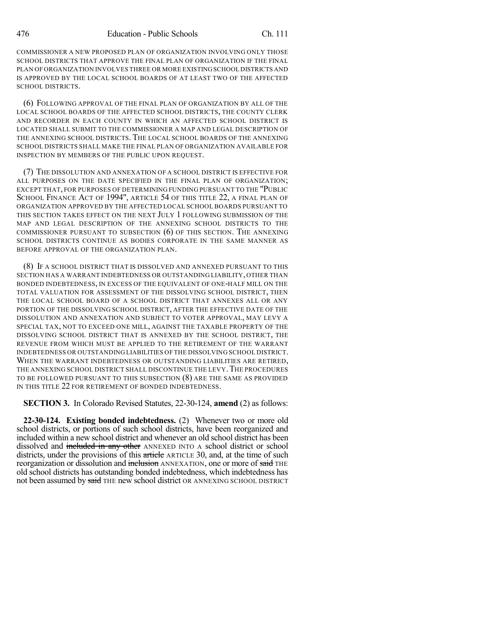COMMISSIONER A NEW PROPOSED PLAN OF ORGANIZATION INVOLVING ONLY THOSE SCHOOL DISTRICTS THAT APPROVE THE FINAL PLAN OF ORGANIZATION IF THE FINAL PLAN OF ORGANIZATION INVOLVES THREE OR MORE EXISTINGSCHOOL DISTRICTS AND IS APPROVED BY THE LOCAL SCHOOL BOARDS OF AT LEAST TWO OF THE AFFECTED SCHOOL DISTRICTS.

(6) FOLLOWING APPROVAL OF THE FINAL PLAN OF ORGANIZATION BY ALL OF THE LOCAL SCHOOL BOARDS OF THE AFFECTED SCHOOL DISTRICTS, THE COUNTY CLERK AND RECORDER IN EACH COUNTY IN WHICH AN AFFECTED SCHOOL DISTRICT IS LOCATED SHALL SUBMIT TO THE COMMISSIONER A MAP AND LEGAL DESCRIPTION OF THE ANNEXING SCHOOL DISTRICTS. THE LOCAL SCHOOL BOARDS OF THE ANNEXING SCHOOL DISTRICTS SHALL MAKE THE FINAL PLAN OF ORGANIZATION AVAILABLE FOR INSPECTION BY MEMBERS OF THE PUBLIC UPON REQUEST.

(7) THE DISSOLUTION AND ANNEXATION OF A SCHOOL DISTRICT IS EFFECTIVE FOR ALL PURPOSES ON THE DATE SPECIFIED IN THE FINAL PLAN OF ORGANIZATION; EXCEPT THAT, FOR PURPOSES OF DETERMINING FUNDING PURSUANT TO THE "PUBLIC SCHOOL FINANCE ACT OF 1994", ARTICLE 54 OF THIS TITLE 22, A FINAL PLAN OF ORGANIZATION APPROVED BY THE AFFECTED LOCAL SCHOOL BOARDS PURSUANT TO THIS SECTION TAKES EFFECT ON THE NEXT JULY 1 FOLLOWING SUBMISSION OF THE MAP AND LEGAL DESCRIPTION OF THE ANNEXING SCHOOL DISTRICTS TO THE COMMISSIONER PURSUANT TO SUBSECTION (6) OF THIS SECTION. THE ANNEXING SCHOOL DISTRICTS CONTINUE AS BODIES CORPORATE IN THE SAME MANNER AS BEFORE APPROVAL OF THE ORGANIZATION PLAN.

(8) IF A SCHOOL DISTRICT THAT IS DISSOLVED AND ANNEXED PURSUANT TO THIS SECTION HAS A WARRANT INDEBTEDNESS OR OUTSTANDING LIABILITY, OTHER THAN BONDED INDEBTEDNESS, IN EXCESS OF THE EQUIVALENT OF ONE-HALF MILL ON THE TOTAL VALUATION FOR ASSESSMENT OF THE DISSOLVING SCHOOL DISTRICT, THEN THE LOCAL SCHOOL BOARD OF A SCHOOL DISTRICT THAT ANNEXES ALL OR ANY PORTION OF THE DISSOLVING SCHOOL DISTRICT, AFTER THE EFFECTIVE DATE OF THE DISSOLUTION AND ANNEXATION AND SUBJECT TO VOTER APPROVAL, MAY LEVY A SPECIAL TAX, NOT TO EXCEED ONE MILL, AGAINST THE TAXABLE PROPERTY OF THE DISSOLVING SCHOOL DISTRICT THAT IS ANNEXED BY THE SCHOOL DISTRICT, THE REVENUE FROM WHICH MUST BE APPLIED TO THE RETIREMENT OF THE WARRANT INDEBTEDNESS OR OUTSTANDING LIABILITIES OF THE DISSOLVING SCHOOL DISTRICT. WHEN THE WARRANT INDEBTEDNESS OR OUTSTANDING LIABILITIES ARE RETIRED, THE ANNEXING SCHOOL DISTRICT SHALL DISCONTINUE THE LEVY. THE PROCEDURES TO BE FOLLOWED PURSUANT TO THIS SUBSECTION (8) ARE THE SAME AS PROVIDED IN THIS TITLE 22 FOR RETIREMENT OF BONDED INDEBTEDNESS.

**SECTION 3.** In Colorado Revised Statutes, 22-30-124, **amend** (2) as follows:

**22-30-124. Existing bonded indebtedness.** (2) Whenever two or more old school districts, or portions of such school districts, have been reorganized and included within a new school district and whenever an old school district has been dissolved and included in any other ANNEXED INTO A school district or school districts, under the provisions of this article ARTICLE 30, and, at the time of such reorganization or dissolution and inclusion ANNEXATION, one or more of said THE old school districts has outstanding bonded indebtedness, which indebtedness has not been assumed by said THE new school district OR ANNEXING SCHOOL DISTRICT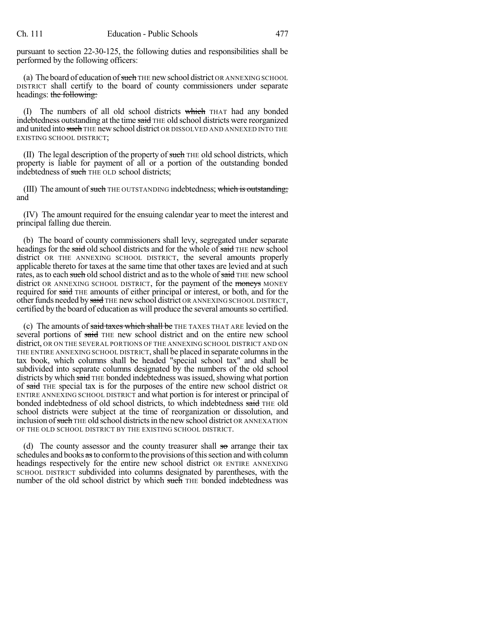pursuant to section 22-30-125, the following duties and responsibilities shall be performed by the following officers:

(a) The board of education of such THE new school district OR ANNEXING SCHOOL DISTRICT shall certify to the board of county commissioners under separate headings: the following:

(I) The numbers of all old school districts which THAT had any bonded indebtedness outstanding at the time said THE old school districts were reorganized and united into such THE new school district OR DISSOLVED AND ANNEXED INTO THE EXISTING SCHOOL DISTRICT;

 $(II)$  The legal description of the property of such THE old school districts, which property is liable for payment of all or a portion of the outstanding bonded indebtedness of such THE OLD school districts;

(III) The amount of such THE OUTSTANDING indebtedness; which is outstanding; and

(IV) The amount required for the ensuing calendar year to meet the interest and principal falling due therein.

(b) The board of county commissioners shall levy, segregated under separate headings for the said old school districts and for the whole of said THE new school district OR THE ANNEXING SCHOOL DISTRICT, the several amounts properly applicable thereto for taxes at the same time that other taxes are levied and at such rates, as to each such old school district and as to the whole of said THE new school district OR ANNEXING SCHOOL DISTRICT, for the payment of the moneys MONEY required for said THE amounts of either principal or interest, or both, and for the other funds needed by said THE new school district OR ANNEXING SCHOOL DISTRICT, certified by the board of education as will produce the several amounts so certified.

(c) The amounts of said taxes which shall be THE TAXES THAT ARE levied on the several portions of said THE new school district and on the entire new school district, OR ON THE SEVERAL PORTIONS OF THE ANNEXING SCHOOL DISTRICT AND ON THE ENTIRE ANNEXING SCHOOL DISTRICT, shall be placed in separate columns in the tax book, which columns shall be headed "special school tax" and shall be subdivided into separate columns designated by the numbers of the old school districts by which said THE bonded indebtedness was issued, showing what portion of said THE special tax is for the purposes of the entire new school district OR ENTIRE ANNEXING SCHOOL DISTRICT and what portion is for interest or principal of bonded indebtedness of old school districts, to which indebtedness said THE old school districts were subject at the time of reorganization or dissolution, and inclusion of such THE old school districts in the new school district OR ANNEXATION OF THE OLD SCHOOL DISTRICT BY THE EXISTING SCHOOL DISTRICT.

(d) The county assessor and the county treasurer shall  $\theta$  arrange their tax schedules and books as to conform to the provisions of this section and with column headings respectively for the entire new school district OR ENTIRE ANNEXING SCHOOL DISTRICT subdivided into columns designated by parentheses, with the number of the old school district by which such THE bonded indebtedness was